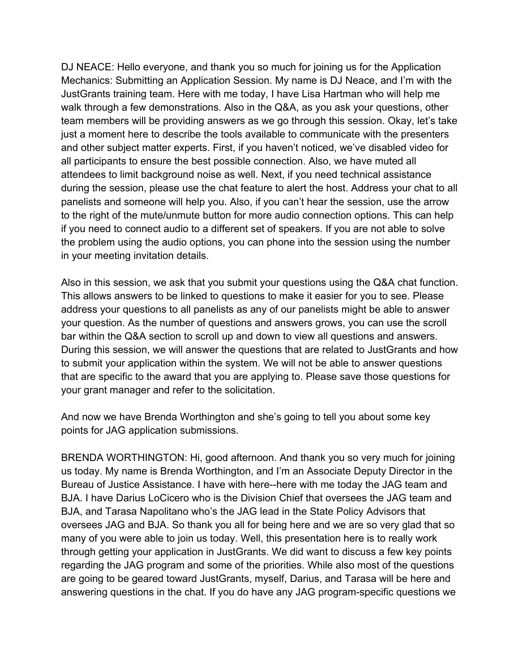DJ NEACE: Hello everyone, and thank you so much for joining us for the Application Mechanics: Submitting an Application Session. My name is DJ Neace, and I'm with the JustGrants training team. Here with me today, I have Lisa Hartman who will help me walk through a few demonstrations. Also in the Q&A, as you ask your questions, other team members will be providing answers as we go through this session. Okay, let's take just a moment here to describe the tools available to communicate with the presenters and other subject matter experts. First, if you haven't noticed, we've disabled video for all participants to ensure the best possible connection. Also, we have muted all attendees to limit background noise as well. Next, if you need technical assistance during the session, please use the chat feature to alert the host. Address your chat to all panelists and someone will help you. Also, if you can't hear the session, use the arrow to the right of the mute/unmute button for more audio connection options. This can help if you need to connect audio to a different set of speakers. If you are not able to solve the problem using the audio options, you can phone into the session using the number in your meeting invitation details.

Also in this session, we ask that you submit your questions using the Q&A chat function. This allows answers to be linked to questions to make it easier for you to see. Please address your questions to all panelists as any of our panelists might be able to answer your question. As the number of questions and answers grows, you can use the scroll bar within the Q&A section to scroll up and down to view all questions and answers. During this session, we will answer the questions that are related to JustGrants and how to submit your application within the system. We will not be able to answer questions that are specific to the award that you are applying to. Please save those questions for your grant manager and refer to the solicitation.

And now we have Brenda Worthington and she's going to tell you about some key points for JAG application submissions.

BRENDA WORTHINGTON: Hi, good afternoon. And thank you so very much for joining us today. My name is Brenda Worthington, and I'm an Associate Deputy Director in the Bureau of Justice Assistance. I have with here--here with me today the JAG team and BJA. I have Darius LoCicero who is the Division Chief that oversees the JAG team and BJA, and Tarasa Napolitano who's the JAG lead in the State Policy Advisors that oversees JAG and BJA. So thank you all for being here and we are so very glad that so many of you were able to join us today. Well, this presentation here is to really work through getting your application in JustGrants. We did want to discuss a few key points regarding the JAG program and some of the priorities. While also most of the questions are going to be geared toward JustGrants, myself, Darius, and Tarasa will be here and answering questions in the chat. If you do have any JAG program-specific questions we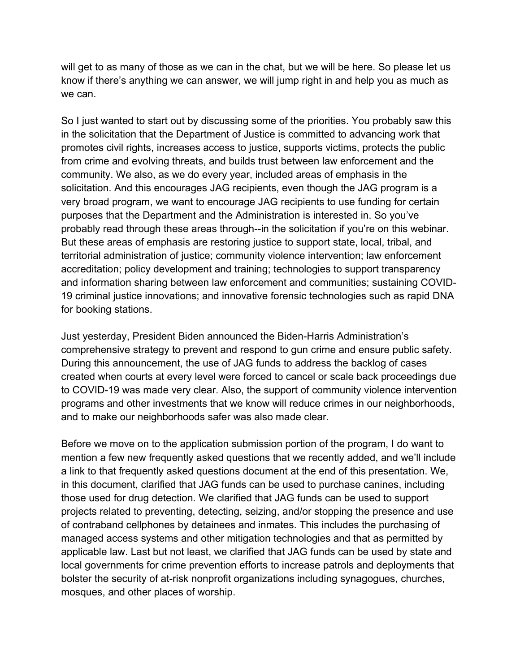will get to as many of those as we can in the chat, but we will be here. So please let us know if there's anything we can answer, we will jump right in and help you as much as we can.

So I just wanted to start out by discussing some of the priorities. You probably saw this in the solicitation that the Department of Justice is committed to advancing work that promotes civil rights, increases access to justice, supports victims, protects the public from crime and evolving threats, and builds trust between law enforcement and the community. We also, as we do every year, included areas of emphasis in the solicitation. And this encourages JAG recipients, even though the JAG program is a very broad program, we want to encourage JAG recipients to use funding for certain purposes that the Department and the Administration is interested in. So you've probably read through these areas through--in the solicitation if you're on this webinar. But these areas of emphasis are restoring justice to support state, local, tribal, and territorial administration of justice; community violence intervention; law enforcement accreditation; policy development and training; technologies to support transparency and information sharing between law enforcement and communities; sustaining COVID-19 criminal justice innovations; and innovative forensic technologies such as rapid DNA for booking stations.

Just yesterday, President Biden announced the Biden-Harris Administration's comprehensive strategy to prevent and respond to gun crime and ensure public safety. During this announcement, the use of JAG funds to address the backlog of cases created when courts at every level were forced to cancel or scale back proceedings due to COVID-19 was made very clear. Also, the support of community violence intervention programs and other investments that we know will reduce crimes in our neighborhoods, and to make our neighborhoods safer was also made clear.

Before we move on to the application submission portion of the program, I do want to mention a few new frequently asked questions that we recently added, and we'll include a link to that frequently asked questions document at the end of this presentation. We, in this document, clarified that JAG funds can be used to purchase canines, including those used for drug detection. We clarified that JAG funds can be used to support projects related to preventing, detecting, seizing, and/or stopping the presence and use of contraband cellphones by detainees and inmates. This includes the purchasing of managed access systems and other mitigation technologies and that as permitted by applicable law. Last but not least, we clarified that JAG funds can be used by state and local governments for crime prevention efforts to increase patrols and deployments that bolster the security of at-risk nonprofit organizations including synagogues, churches, mosques, and other places of worship.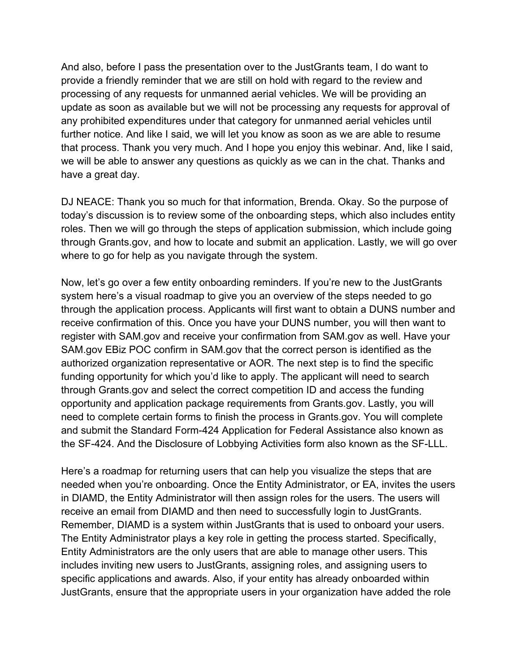And also, before I pass the presentation over to the JustGrants team, I do want to provide a friendly reminder that we are still on hold with regard to the review and processing of any requests for unmanned aerial vehicles. We will be providing an update as soon as available but we will not be processing any requests for approval of any prohibited expenditures under that category for unmanned aerial vehicles until further notice. And like I said, we will let you know as soon as we are able to resume that process. Thank you very much. And I hope you enjoy this webinar. And, like I said, we will be able to answer any questions as quickly as we can in the chat. Thanks and have a great day.

DJ NEACE: Thank you so much for that information, Brenda. Okay. So the purpose of today's discussion is to review some of the onboarding steps, which also includes entity roles. Then we will go through the steps of application submission, which include going through Grants.gov, and how to locate and submit an application. Lastly, we will go over where to go for help as you navigate through the system.

Now, let's go over a few entity onboarding reminders. If you're new to the JustGrants system here's a visual roadmap to give you an overview of the steps needed to go through the application process. Applicants will first want to obtain a DUNS number and receive confirmation of this. Once you have your DUNS number, you will then want to register with SAM.gov and receive your confirmation from SAM.gov as well. Have your SAM.gov EBiz POC confirm in SAM.gov that the correct person is identified as the authorized organization representative or AOR. The next step is to find the specific funding opportunity for which you'd like to apply. The applicant will need to search through Grants.gov and select the correct competition ID and access the funding opportunity and application package requirements from Grants.gov. Lastly, you will need to complete certain forms to finish the process in Grants.gov. You will complete and submit the Standard Form-424 Application for Federal Assistance also known as the SF-424. And the Disclosure of Lobbying Activities form also known as the SF-LLL.

Here's a roadmap for returning users that can help you visualize the steps that are needed when you're onboarding. Once the Entity Administrator, or EA, invites the users in DIAMD, the Entity Administrator will then assign roles for the users. The users will receive an email from DIAMD and then need to successfully login to JustGrants. Remember, DIAMD is a system within JustGrants that is used to onboard your users. The Entity Administrator plays a key role in getting the process started. Specifically, Entity Administrators are the only users that are able to manage other users. This includes inviting new users to JustGrants, assigning roles, and assigning users to specific applications and awards. Also, if your entity has already onboarded within JustGrants, ensure that the appropriate users in your organization have added the role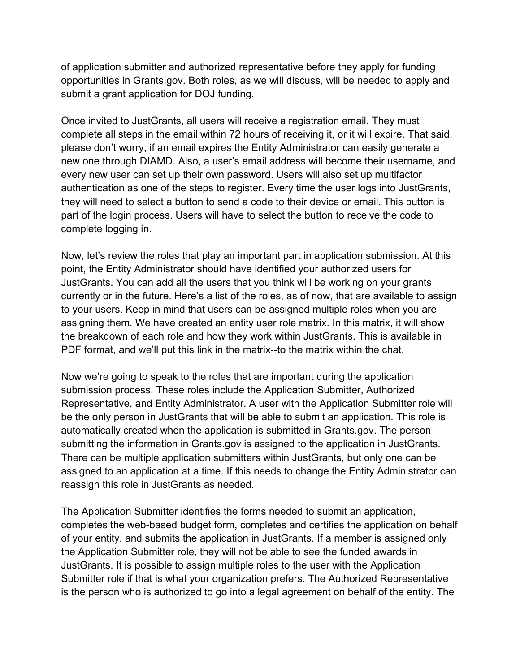of application submitter and authorized representative before they apply for funding opportunities in Grants.gov. Both roles, as we will discuss, will be needed to apply and submit a grant application for DOJ funding.

Once invited to JustGrants, all users will receive a registration email. They must complete all steps in the email within 72 hours of receiving it, or it will expire. That said, please don't worry, if an email expires the Entity Administrator can easily generate a new one through DIAMD. Also, a user's email address will become their username, and every new user can set up their own password. Users will also set up multifactor authentication as one of the steps to register. Every time the user logs into JustGrants, they will need to select a button to send a code to their device or email. This button is part of the login process. Users will have to select the button to receive the code to complete logging in.

Now, let's review the roles that play an important part in application submission. At this point, the Entity Administrator should have identified your authorized users for JustGrants. You can add all the users that you think will be working on your grants currently or in the future. Here's a list of the roles, as of now, that are available to assign to your users. Keep in mind that users can be assigned multiple roles when you are assigning them. We have created an entity user role matrix. In this matrix, it will show the breakdown of each role and how they work within JustGrants. This is available in PDF format, and we'll put this link in the matrix--to the matrix within the chat.

Now we're going to speak to the roles that are important during the application submission process. These roles include the Application Submitter, Authorized Representative, and Entity Administrator. A user with the Application Submitter role will be the only person in JustGrants that will be able to submit an application. This role is automatically created when the application is submitted in Grants.gov. The person submitting the information in Grants.gov is assigned to the application in JustGrants. There can be multiple application submitters within JustGrants, but only one can be assigned to an application at a time. If this needs to change the Entity Administrator can reassign this role in JustGrants as needed.

The Application Submitter identifies the forms needed to submit an application, completes the web-based budget form, completes and certifies the application on behalf of your entity, and submits the application in JustGrants. If a member is assigned only the Application Submitter role, they will not be able to see the funded awards in JustGrants. It is possible to assign multiple roles to the user with the Application Submitter role if that is what your organization prefers. The Authorized Representative is the person who is authorized to go into a legal agreement on behalf of the entity. The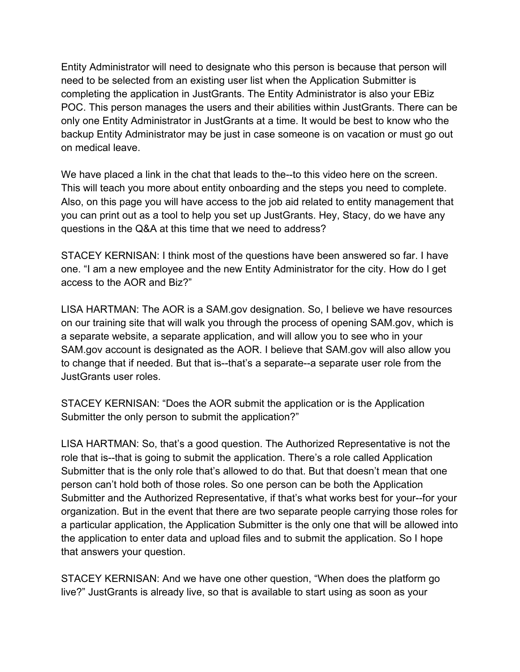Entity Administrator will need to designate who this person is because that person will need to be selected from an existing user list when the Application Submitter is completing the application in JustGrants. The Entity Administrator is also your EBiz POC. This person manages the users and their abilities within JustGrants. There can be only one Entity Administrator in JustGrants at a time. It would be best to know who the backup Entity Administrator may be just in case someone is on vacation or must go out on medical leave.

We have placed a link in the chat that leads to the--to this video here on the screen. This will teach you more about entity onboarding and the steps you need to complete. Also, on this page you will have access to the job aid related to entity management that you can print out as a tool to help you set up JustGrants. Hey, Stacy, do we have any questions in the Q&A at this time that we need to address?

STACEY KERNISAN: I think most of the questions have been answered so far. I have one. "I am a new employee and the new Entity Administrator for the city. How do I get access to the AOR and Biz?"

LISA HARTMAN: The AOR is a SAM.gov designation. So, I believe we have resources on our training site that will walk you through the process of opening SAM.gov, which is a separate website, a separate application, and will allow you to see who in your SAM.gov account is designated as the AOR. I believe that SAM.gov will also allow you to change that if needed. But that is--that's a separate--a separate user role from the JustGrants user roles.

STACEY KERNISAN: "Does the AOR submit the application or is the Application Submitter the only person to submit the application?"

LISA HARTMAN: So, that's a good question. The Authorized Representative is not the role that is--that is going to submit the application. There's a role called Application Submitter that is the only role that's allowed to do that. But that doesn't mean that one person can't hold both of those roles. So one person can be both the Application Submitter and the Authorized Representative, if that's what works best for your--for your organization. But in the event that there are two separate people carrying those roles for a particular application, the Application Submitter is the only one that will be allowed into the application to enter data and upload files and to submit the application. So I hope that answers your question.

STACEY KERNISAN: And we have one other question, "When does the platform go live?" JustGrants is already live, so that is available to start using as soon as your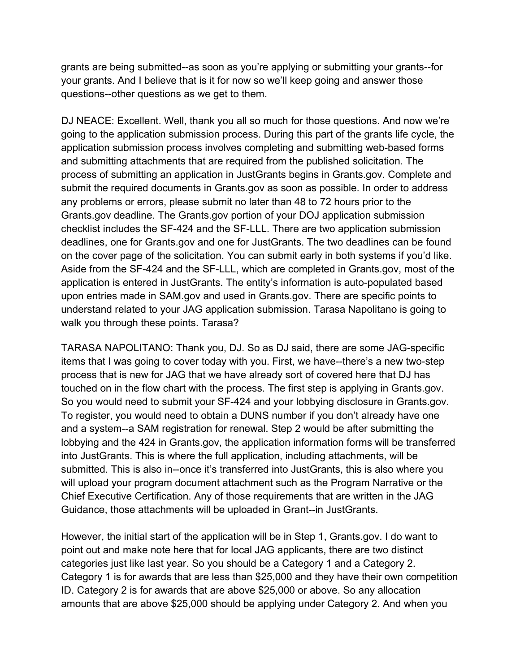grants are being submitted--as soon as you're applying or submitting your grants--for your grants. And I believe that is it for now so we'll keep going and answer those questions--other questions as we get to them.

DJ NEACE: Excellent. Well, thank you all so much for those questions. And now we're going to the application submission process. During this part of the grants life cycle, the application submission process involves completing and submitting web-based forms and submitting attachments that are required from the published solicitation. The process of submitting an application in JustGrants begins in Grants.gov. Complete and submit the required documents in Grants.gov as soon as possible. In order to address any problems or errors, please submit no later than 48 to 72 hours prior to the Grants.gov deadline. The Grants.gov portion of your DOJ application submission checklist includes the SF-424 and the SF-LLL. There are two application submission deadlines, one for Grants.gov and one for JustGrants. The two deadlines can be found on the cover page of the solicitation. You can submit early in both systems if you'd like. Aside from the SF-424 and the SF-LLL, which are completed in Grants.gov, most of the application is entered in JustGrants. The entity's information is auto-populated based upon entries made in SAM.gov and used in Grants.gov. There are specific points to understand related to your JAG application submission. Tarasa Napolitano is going to walk you through these points. Tarasa?

TARASA NAPOLITANO: Thank you, DJ. So as DJ said, there are some JAG-specific items that I was going to cover today with you. First, we have--there's a new two-step process that is new for JAG that we have already sort of covered here that DJ has touched on in the flow chart with the process. The first step is applying in Grants.gov. So you would need to submit your SF-424 and your lobbying disclosure in Grants.gov. To register, you would need to obtain a DUNS number if you don't already have one and a system--a SAM registration for renewal. Step 2 would be after submitting the lobbying and the 424 in Grants.gov, the application information forms will be transferred into JustGrants. This is where the full application, including attachments, will be submitted. This is also in--once it's transferred into JustGrants, this is also where you will upload your program document attachment such as the Program Narrative or the Chief Executive Certification. Any of those requirements that are written in the JAG Guidance, those attachments will be uploaded in Grant--in JustGrants.

However, the initial start of the application will be in Step 1, Grants.gov. I do want to point out and make note here that for local JAG applicants, there are two distinct categories just like last year. So you should be a Category 1 and a Category 2. Category 1 is for awards that are less than \$25,000 and they have their own competition ID. Category 2 is for awards that are above \$25,000 or above. So any allocation amounts that are above \$25,000 should be applying under Category 2. And when you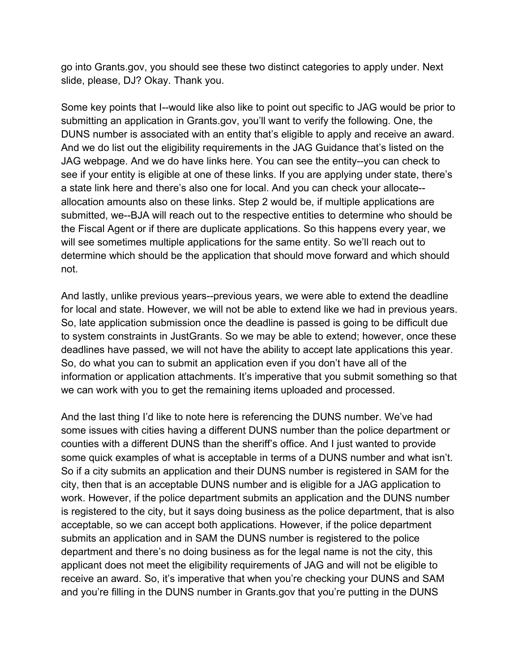go into Grants.gov, you should see these two distinct categories to apply under. Next slide, please, DJ? Okay. Thank you.

Some key points that I--would like also like to point out specific to JAG would be prior to submitting an application in Grants.gov, you'll want to verify the following. One, the DUNS number is associated with an entity that's eligible to apply and receive an award. And we do list out the eligibility requirements in the JAG Guidance that's listed on the JAG webpage. And we do have links here. You can see the entity--you can check to see if your entity is eligible at one of these links. If you are applying under state, there's a state link here and there's also one for local. And you can check your allocate- allocation amounts also on these links. Step 2 would be, if multiple applications are submitted, we--BJA will reach out to the respective entities to determine who should be the Fiscal Agent or if there are duplicate applications. So this happens every year, we will see sometimes multiple applications for the same entity. So we'll reach out to determine which should be the application that should move forward and which should not.

And lastly, unlike previous years--previous years, we were able to extend the deadline for local and state. However, we will not be able to extend like we had in previous years. So, late application submission once the deadline is passed is going to be difficult due to system constraints in JustGrants. So we may be able to extend; however, once these deadlines have passed, we will not have the ability to accept late applications this year. So, do what you can to submit an application even if you don't have all of the information or application attachments. It's imperative that you submit something so that we can work with you to get the remaining items uploaded and processed.

And the last thing I'd like to note here is referencing the DUNS number. We've had some issues with cities having a different DUNS number than the police department or counties with a different DUNS than the sheriff's office. And I just wanted to provide some quick examples of what is acceptable in terms of a DUNS number and what isn't. So if a city submits an application and their DUNS number is registered in SAM for the city, then that is an acceptable DUNS number and is eligible for a JAG application to work. However, if the police department submits an application and the DUNS number is registered to the city, but it says doing business as the police department, that is also acceptable, so we can accept both applications. However, if the police department submits an application and in SAM the DUNS number is registered to the police department and there's no doing business as for the legal name is not the city, this applicant does not meet the eligibility requirements of JAG and will not be eligible to receive an award. So, it's imperative that when you're checking your DUNS and SAM and you're filling in the DUNS number in Grants.gov that you're putting in the DUNS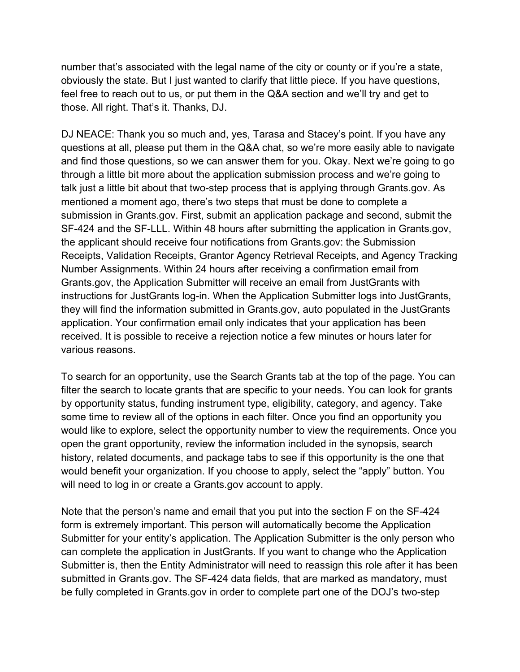number that's associated with the legal name of the city or county or if you're a state, obviously the state. But I just wanted to clarify that little piece. If you have questions, feel free to reach out to us, or put them in the Q&A section and we'll try and get to those. All right. That's it. Thanks, DJ.

DJ NEACE: Thank you so much and, yes, Tarasa and Stacey's point. If you have any questions at all, please put them in the Q&A chat, so we're more easily able to navigate and find those questions, so we can answer them for you. Okay. Next we're going to go through a little bit more about the application submission process and we're going to talk just a little bit about that two-step process that is applying through Grants.gov. As mentioned a moment ago, there's two steps that must be done to complete a submission in Grants.gov. First, submit an application package and second, submit the SF-424 and the SF-LLL. Within 48 hours after submitting the application in Grants.gov, the applicant should receive four notifications from Grants.gov: the Submission Receipts, Validation Receipts, Grantor Agency Retrieval Receipts, and Agency Tracking Number Assignments. Within 24 hours after receiving a confirmation email from Grants.gov, the Application Submitter will receive an email from JustGrants with instructions for JustGrants log-in. When the Application Submitter logs into JustGrants, they will find the information submitted in Grants.gov, auto populated in the JustGrants application. Your confirmation email only indicates that your application has been received. It is possible to receive a rejection notice a few minutes or hours later for various reasons.

To search for an opportunity, use the Search Grants tab at the top of the page. You can filter the search to locate grants that are specific to your needs. You can look for grants by opportunity status, funding instrument type, eligibility, category, and agency. Take some time to review all of the options in each filter. Once you find an opportunity you would like to explore, select the opportunity number to view the requirements. Once you open the grant opportunity, review the information included in the synopsis, search history, related documents, and package tabs to see if this opportunity is the one that would benefit your organization. If you choose to apply, select the "apply" button. You will need to log in or create a Grants.gov account to apply.

Note that the person's name and email that you put into the section F on the SF-424 form is extremely important. This person will automatically become the Application Submitter for your entity's application. The Application Submitter is the only person who can complete the application in JustGrants. If you want to change who the Application Submitter is, then the Entity Administrator will need to reassign this role after it has been submitted in Grants.gov. The SF-424 data fields, that are marked as mandatory, must be fully completed in Grants.gov in order to complete part one of the DOJ's two-step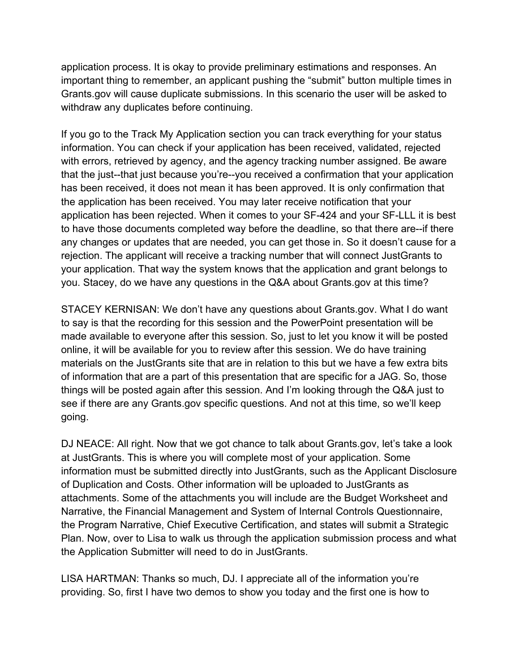application process. It is okay to provide preliminary estimations and responses. An important thing to remember, an applicant pushing the "submit" button multiple times in Grants.gov will cause duplicate submissions. In this scenario the user will be asked to withdraw any duplicates before continuing.

If you go to the Track My Application section you can track everything for your status information. You can check if your application has been received, validated, rejected with errors, retrieved by agency, and the agency tracking number assigned. Be aware that the just--that just because you're--you received a confirmation that your application has been received, it does not mean it has been approved. It is only confirmation that the application has been received. You may later receive notification that your application has been rejected. When it comes to your SF-424 and your SF-LLL it is best to have those documents completed way before the deadline, so that there are--if there any changes or updates that are needed, you can get those in. So it doesn't cause for a rejection. The applicant will receive a tracking number that will connect JustGrants to your application. That way the system knows that the application and grant belongs to you. Stacey, do we have any questions in the Q&A about Grants.gov at this time?

STACEY KERNISAN: We don't have any questions about Grants.gov. What I do want to say is that the recording for this session and the PowerPoint presentation will be made available to everyone after this session. So, just to let you know it will be posted online, it will be available for you to review after this session. We do have training materials on the JustGrants site that are in relation to this but we have a few extra bits of information that are a part of this presentation that are specific for a JAG. So, those things will be posted again after this session. And I'm looking through the Q&A just to see if there are any Grants.gov specific questions. And not at this time, so we'll keep going.

DJ NEACE: All right. Now that we got chance to talk about Grants.gov, let's take a look at JustGrants. This is where you will complete most of your application. Some information must be submitted directly into JustGrants, such as the Applicant Disclosure of Duplication and Costs. Other information will be uploaded to JustGrants as attachments. Some of the attachments you will include are the Budget Worksheet and Narrative, the Financial Management and System of Internal Controls Questionnaire, the Program Narrative, Chief Executive Certification, and states will submit a Strategic Plan. Now, over to Lisa to walk us through the application submission process and what the Application Submitter will need to do in JustGrants.

LISA HARTMAN: Thanks so much, DJ. I appreciate all of the information you're providing. So, first I have two demos to show you today and the first one is how to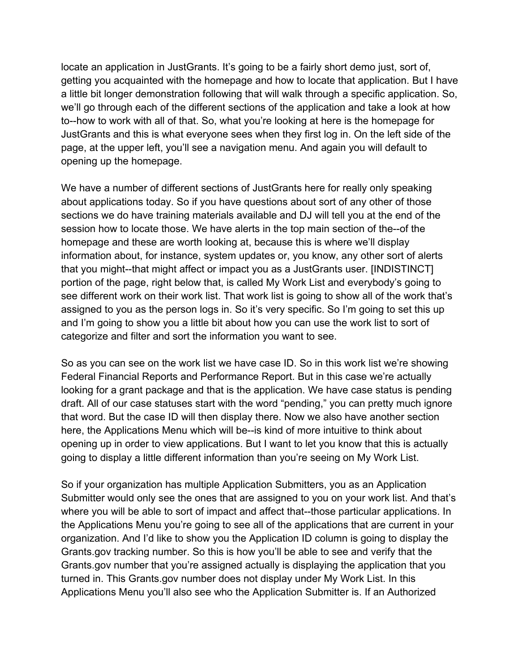locate an application in JustGrants. It's going to be a fairly short demo just, sort of, getting you acquainted with the homepage and how to locate that application. But I have a little bit longer demonstration following that will walk through a specific application. So, we'll go through each of the different sections of the application and take a look at how to--how to work with all of that. So, what you're looking at here is the homepage for JustGrants and this is what everyone sees when they first log in. On the left side of the page, at the upper left, you'll see a navigation menu. And again you will default to opening up the homepage.

We have a number of different sections of JustGrants here for really only speaking about applications today. So if you have questions about sort of any other of those sections we do have training materials available and DJ will tell you at the end of the session how to locate those. We have alerts in the top main section of the--of the homepage and these are worth looking at, because this is where we'll display information about, for instance, system updates or, you know, any other sort of alerts that you might--that might affect or impact you as a JustGrants user. [INDISTINCT] portion of the page, right below that, is called My Work List and everybody's going to see different work on their work list. That work list is going to show all of the work that's assigned to you as the person logs in. So it's very specific. So I'm going to set this up and I'm going to show you a little bit about how you can use the work list to sort of categorize and filter and sort the information you want to see.

So as you can see on the work list we have case ID. So in this work list we're showing Federal Financial Reports and Performance Report. But in this case we're actually looking for a grant package and that is the application. We have case status is pending draft. All of our case statuses start with the word "pending," you can pretty much ignore that word. But the case ID will then display there. Now we also have another section here, the Applications Menu which will be--is kind of more intuitive to think about opening up in order to view applications. But I want to let you know that this is actually going to display a little different information than you're seeing on My Work List.

So if your organization has multiple Application Submitters, you as an Application Submitter would only see the ones that are assigned to you on your work list. And that's where you will be able to sort of impact and affect that--those particular applications. In the Applications Menu you're going to see all of the applications that are current in your organization. And I'd like to show you the Application ID column is going to display the Grants.gov tracking number. So this is how you'll be able to see and verify that the Grants.gov number that you're assigned actually is displaying the application that you turned in. This Grants.gov number does not display under My Work List. In this Applications Menu you'll also see who the Application Submitter is. If an Authorized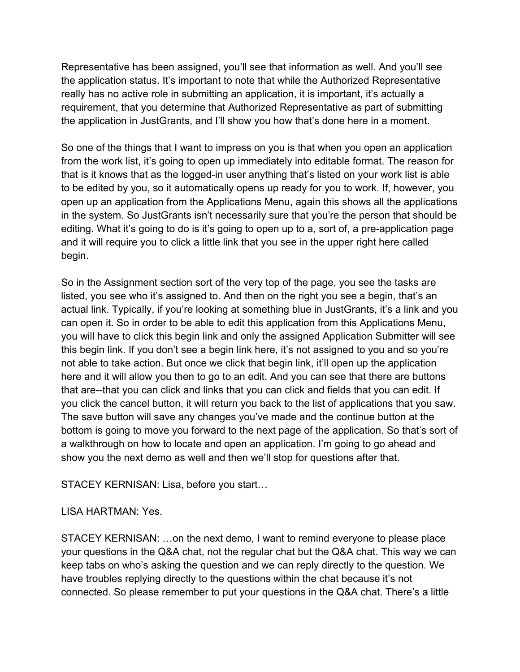Representative has been assigned, you'll see that information as well. And you'll see the application status. It's important to note that while the Authorized Representative really has no active role in submitting an application, it is important, it's actually a requirement, that you determine that Authorized Representative as part of submitting the application in JustGrants, and I'll show you how that's done here in a moment.

So one of the things that I want to impress on you is that when you open an application from the work list, it's going to open up immediately into editable format. The reason for that is it knows that as the logged-in user anything that's listed on your work list is able to be edited by you, so it automatically opens up ready for you to work. If, however, you open up an application from the Applications Menu, again this shows all the applications in the system. So JustGrants isn't necessarily sure that you're the person that should be editing. What it's going to do is it's going to open up to a, sort of, a pre-application page and it will require you to click a little link that you see in the upper right here called begin.

So in the Assignment section sort of the very top of the page, you see the tasks are listed, you see who it's assigned to. And then on the right you see a begin, that's an actual link. Typically, if you're looking at something blue in JustGrants, it's a link and you can open it. So in order to be able to edit this application from this Applications Menu, you will have to click this begin link and only the assigned Application Submitter will see this begin link. If you don't see a begin link here, it's not assigned to you and so you're not able to take action. But once we click that begin link, it'll open up the application here and it will allow you then to go to an edit. And you can see that there are buttons that are--that you can click and links that you can click and fields that you can edit. If you click the cancel button, it will return you back to the list of applications that you saw. The save button will save any changes you've made and the continue button at the bottom is going to move you forward to the next page of the application. So that's sort of a walkthrough on how to locate and open an application. I'm going to go ahead and show you the next demo as well and then we'll stop for questions after that.

STACEY KERNISAN: Lisa, before you start…

## LISA HARTMAN: Yes.

STACEY KERNISAN: …on the next demo, I want to remind everyone to please place your questions in the Q&A chat, not the regular chat but the Q&A chat. This way we can keep tabs on who's asking the question and we can reply directly to the question. We have troubles replying directly to the questions within the chat because it's not connected. So please remember to put your questions in the Q&A chat. There's a little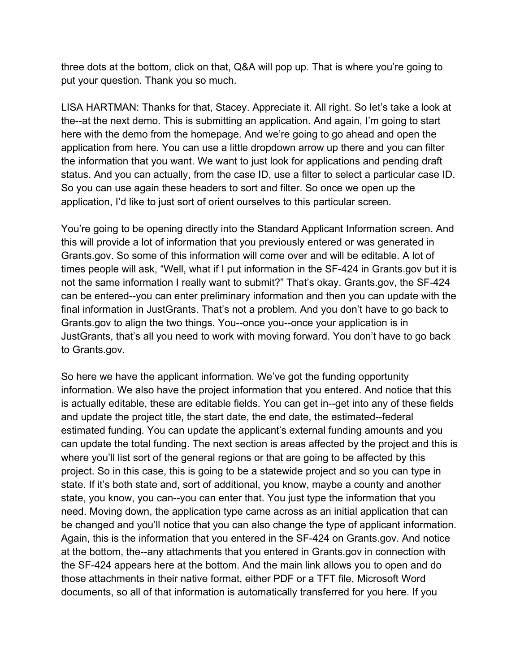three dots at the bottom, click on that, Q&A will pop up. That is where you're going to put your question. Thank you so much.

LISA HARTMAN: Thanks for that, Stacey. Appreciate it. All right. So let's take a look at the--at the next demo. This is submitting an application. And again, I'm going to start here with the demo from the homepage. And we're going to go ahead and open the application from here. You can use a little dropdown arrow up there and you can filter the information that you want. We want to just look for applications and pending draft status. And you can actually, from the case ID, use a filter to select a particular case ID. So you can use again these headers to sort and filter. So once we open up the application, I'd like to just sort of orient ourselves to this particular screen.

You're going to be opening directly into the Standard Applicant Information screen. And this will provide a lot of information that you previously entered or was generated in Grants.gov. So some of this information will come over and will be editable. A lot of times people will ask, "Well, what if I put information in the SF-424 in Grants.gov but it is not the same information I really want to submit?" That's okay. Grants.gov, the SF-424 can be entered--you can enter preliminary information and then you can update with the final information in JustGrants. That's not a problem. And you don't have to go back to Grants.gov to align the two things. You--once you--once your application is in JustGrants, that's all you need to work with moving forward. You don't have to go back to Grants.gov.

So here we have the applicant information. We've got the funding opportunity information. We also have the project information that you entered. And notice that this is actually editable, these are editable fields. You can get in--get into any of these fields and update the project title, the start date, the end date, the estimated--federal estimated funding. You can update the applicant's external funding amounts and you can update the total funding. The next section is areas affected by the project and this is where you'll list sort of the general regions or that are going to be affected by this project. So in this case, this is going to be a statewide project and so you can type in state. If it's both state and, sort of additional, you know, maybe a county and another state, you know, you can--you can enter that. You just type the information that you need. Moving down, the application type came across as an initial application that can be changed and you'll notice that you can also change the type of applicant information. Again, this is the information that you entered in the SF-424 on Grants.gov. And notice at the bottom, the--any attachments that you entered in Grants.gov in connection with the SF-424 appears here at the bottom. And the main link allows you to open and do those attachments in their native format, either PDF or a TFT file, Microsoft Word documents, so all of that information is automatically transferred for you here. If you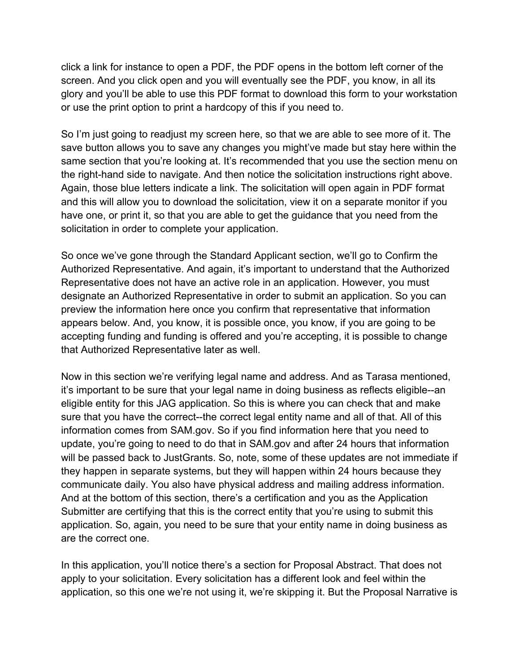click a link for instance to open a PDF, the PDF opens in the bottom left corner of the screen. And you click open and you will eventually see the PDF, you know, in all its glory and you'll be able to use this PDF format to download this form to your workstation or use the print option to print a hardcopy of this if you need to.

So I'm just going to readjust my screen here, so that we are able to see more of it. The save button allows you to save any changes you might've made but stay here within the same section that you're looking at. It's recommended that you use the section menu on the right-hand side to navigate. And then notice the solicitation instructions right above. Again, those blue letters indicate a link. The solicitation will open again in PDF format and this will allow you to download the solicitation, view it on a separate monitor if you have one, or print it, so that you are able to get the guidance that you need from the solicitation in order to complete your application.

So once we've gone through the Standard Applicant section, we'll go to Confirm the Authorized Representative. And again, it's important to understand that the Authorized Representative does not have an active role in an application. However, you must designate an Authorized Representative in order to submit an application. So you can preview the information here once you confirm that representative that information appears below. And, you know, it is possible once, you know, if you are going to be accepting funding and funding is offered and you're accepting, it is possible to change that Authorized Representative later as well.

Now in this section we're verifying legal name and address. And as Tarasa mentioned, it's important to be sure that your legal name in doing business as reflects eligible--an eligible entity for this JAG application. So this is where you can check that and make sure that you have the correct--the correct legal entity name and all of that. All of this information comes from SAM.gov. So if you find information here that you need to update, you're going to need to do that in SAM.gov and after 24 hours that information will be passed back to JustGrants. So, note, some of these updates are not immediate if they happen in separate systems, but they will happen within 24 hours because they communicate daily. You also have physical address and mailing address information. And at the bottom of this section, there's a certification and you as the Application Submitter are certifying that this is the correct entity that you're using to submit this application. So, again, you need to be sure that your entity name in doing business as are the correct one.

In this application, you'll notice there's a section for Proposal Abstract. That does not apply to your solicitation. Every solicitation has a different look and feel within the application, so this one we're not using it, we're skipping it. But the Proposal Narrative is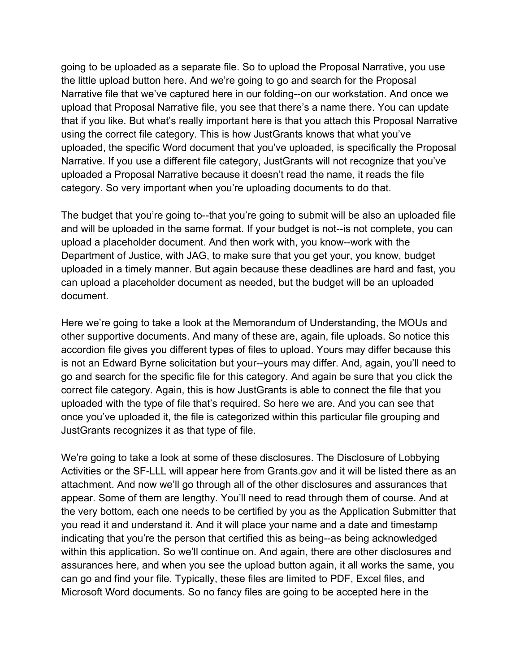going to be uploaded as a separate file. So to upload the Proposal Narrative, you use the little upload button here. And we're going to go and search for the Proposal Narrative file that we've captured here in our folding--on our workstation. And once we upload that Proposal Narrative file, you see that there's a name there. You can update that if you like. But what's really important here is that you attach this Proposal Narrative using the correct file category. This is how JustGrants knows that what you've uploaded, the specific Word document that you've uploaded, is specifically the Proposal Narrative. If you use a different file category, JustGrants will not recognize that you've uploaded a Proposal Narrative because it doesn't read the name, it reads the file category. So very important when you're uploading documents to do that.

The budget that you're going to--that you're going to submit will be also an uploaded file and will be uploaded in the same format. If your budget is not--is not complete, you can upload a placeholder document. And then work with, you know--work with the Department of Justice, with JAG, to make sure that you get your, you know, budget uploaded in a timely manner. But again because these deadlines are hard and fast, you can upload a placeholder document as needed, but the budget will be an uploaded document.

Here we're going to take a look at the Memorandum of Understanding, the MOUs and other supportive documents. And many of these are, again, file uploads. So notice this accordion file gives you different types of files to upload. Yours may differ because this is not an Edward Byrne solicitation but your--yours may differ. And, again, you'll need to go and search for the specific file for this category. And again be sure that you click the correct file category. Again, this is how JustGrants is able to connect the file that you uploaded with the type of file that's required. So here we are. And you can see that once you've uploaded it, the file is categorized within this particular file grouping and JustGrants recognizes it as that type of file.

We're going to take a look at some of these disclosures. The Disclosure of Lobbying Activities or the SF-LLL will appear here from Grants.gov and it will be listed there as an attachment. And now we'll go through all of the other disclosures and assurances that appear. Some of them are lengthy. You'll need to read through them of course. And at the very bottom, each one needs to be certified by you as the Application Submitter that you read it and understand it. And it will place your name and a date and timestamp indicating that you're the person that certified this as being--as being acknowledged within this application. So we'll continue on. And again, there are other disclosures and assurances here, and when you see the upload button again, it all works the same, you can go and find your file. Typically, these files are limited to PDF, Excel files, and Microsoft Word documents. So no fancy files are going to be accepted here in the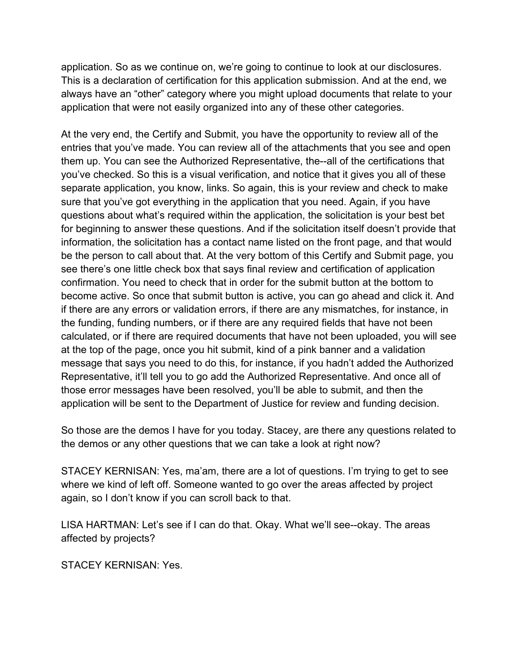application. So as we continue on, we're going to continue to look at our disclosures. This is a declaration of certification for this application submission. And at the end, we always have an "other" category where you might upload documents that relate to your application that were not easily organized into any of these other categories.

At the very end, the Certify and Submit, you have the opportunity to review all of the entries that you've made. You can review all of the attachments that you see and open them up. You can see the Authorized Representative, the--all of the certifications that you've checked. So this is a visual verification, and notice that it gives you all of these separate application, you know, links. So again, this is your review and check to make sure that you've got everything in the application that you need. Again, if you have questions about what's required within the application, the solicitation is your best bet for beginning to answer these questions. And if the solicitation itself doesn't provide that information, the solicitation has a contact name listed on the front page, and that would be the person to call about that. At the very bottom of this Certify and Submit page, you see there's one little check box that says final review and certification of application confirmation. You need to check that in order for the submit button at the bottom to become active. So once that submit button is active, you can go ahead and click it. And if there are any errors or validation errors, if there are any mismatches, for instance, in the funding, funding numbers, or if there are any required fields that have not been calculated, or if there are required documents that have not been uploaded, you will see at the top of the page, once you hit submit, kind of a pink banner and a validation message that says you need to do this, for instance, if you hadn't added the Authorized Representative, it'll tell you to go add the Authorized Representative. And once all of those error messages have been resolved, you'll be able to submit, and then the application will be sent to the Department of Justice for review and funding decision.

So those are the demos I have for you today. Stacey, are there any questions related to the demos or any other questions that we can take a look at right now?

STACEY KERNISAN: Yes, ma'am, there are a lot of questions. I'm trying to get to see where we kind of left off. Someone wanted to go over the areas affected by project again, so I don't know if you can scroll back to that.

LISA HARTMAN: Let's see if I can do that. Okay. What we'll see--okay. The areas affected by projects?

STACEY KERNISAN: Yes.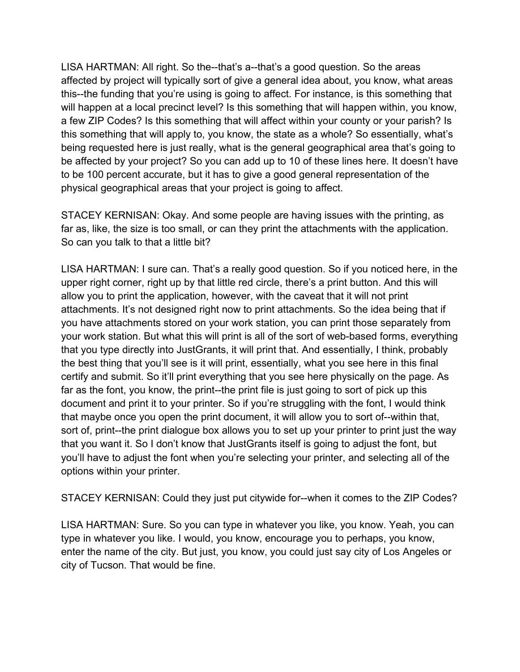LISA HARTMAN: All right. So the--that's a--that's a good question. So the areas affected by project will typically sort of give a general idea about, you know, what areas this--the funding that you're using is going to affect. For instance, is this something that will happen at a local precinct level? Is this something that will happen within, you know, a few ZIP Codes? Is this something that will affect within your county or your parish? Is this something that will apply to, you know, the state as a whole? So essentially, what's being requested here is just really, what is the general geographical area that's going to be affected by your project? So you can add up to 10 of these lines here. It doesn't have to be 100 percent accurate, but it has to give a good general representation of the physical geographical areas that your project is going to affect.

STACEY KERNISAN: Okay. And some people are having issues with the printing, as far as, like, the size is too small, or can they print the attachments with the application. So can you talk to that a little bit?

LISA HARTMAN: I sure can. That's a really good question. So if you noticed here, in the upper right corner, right up by that little red circle, there's a print button. And this will allow you to print the application, however, with the caveat that it will not print attachments. It's not designed right now to print attachments. So the idea being that if you have attachments stored on your work station, you can print those separately from your work station. But what this will print is all of the sort of web-based forms, everything that you type directly into JustGrants, it will print that. And essentially, I think, probably the best thing that you'll see is it will print, essentially, what you see here in this final certify and submit. So it'll print everything that you see here physically on the page. As far as the font, you know, the print--the print file is just going to sort of pick up this document and print it to your printer. So if you're struggling with the font, I would think that maybe once you open the print document, it will allow you to sort of--within that, sort of, print--the print dialogue box allows you to set up your printer to print just the way that you want it. So I don't know that JustGrants itself is going to adjust the font, but you'll have to adjust the font when you're selecting your printer, and selecting all of the options within your printer.

STACEY KERNISAN: Could they just put citywide for--when it comes to the ZIP Codes?

LISA HARTMAN: Sure. So you can type in whatever you like, you know. Yeah, you can type in whatever you like. I would, you know, encourage you to perhaps, you know, enter the name of the city. But just, you know, you could just say city of Los Angeles or city of Tucson. That would be fine.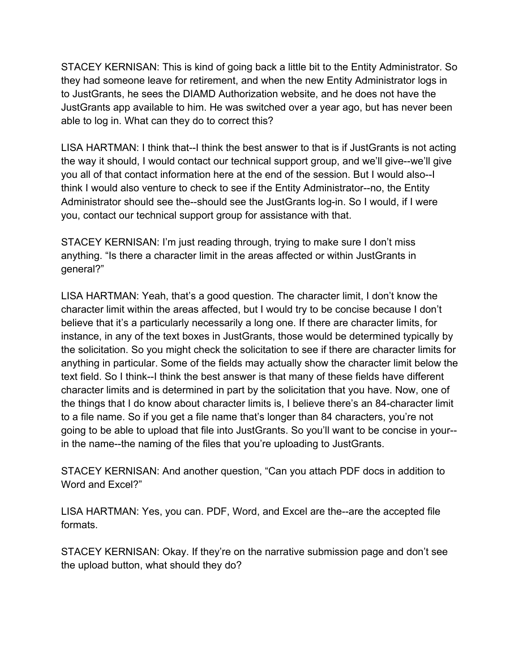STACEY KERNISAN: This is kind of going back a little bit to the Entity Administrator. So they had someone leave for retirement, and when the new Entity Administrator logs in to JustGrants, he sees the DIAMD Authorization website, and he does not have the JustGrants app available to him. He was switched over a year ago, but has never been able to log in. What can they do to correct this?

LISA HARTMAN: I think that--I think the best answer to that is if JustGrants is not acting the way it should, I would contact our technical support group, and we'll give--we'll give you all of that contact information here at the end of the session. But I would also--I think I would also venture to check to see if the Entity Administrator--no, the Entity Administrator should see the--should see the JustGrants log-in. So I would, if I were you, contact our technical support group for assistance with that.

STACEY KERNISAN: I'm just reading through, trying to make sure I don't miss anything. "Is there a character limit in the areas affected or within JustGrants in general?"

LISA HARTMAN: Yeah, that's a good question. The character limit, I don't know the character limit within the areas affected, but I would try to be concise because I don't believe that it's a particularly necessarily a long one. If there are character limits, for instance, in any of the text boxes in JustGrants, those would be determined typically by the solicitation. So you might check the solicitation to see if there are character limits for anything in particular. Some of the fields may actually show the character limit below the text field. So I think--I think the best answer is that many of these fields have different character limits and is determined in part by the solicitation that you have. Now, one of the things that I do know about character limits is, I believe there's an 84-character limit to a file name. So if you get a file name that's longer than 84 characters, you're not going to be able to upload that file into JustGrants. So you'll want to be concise in your- in the name--the naming of the files that you're uploading to JustGrants.

STACEY KERNISAN: And another question, "Can you attach PDF docs in addition to Word and Excel?"

LISA HARTMAN: Yes, you can. PDF, Word, and Excel are the--are the accepted file formats.

STACEY KERNISAN: Okay. If they're on the narrative submission page and don't see the upload button, what should they do?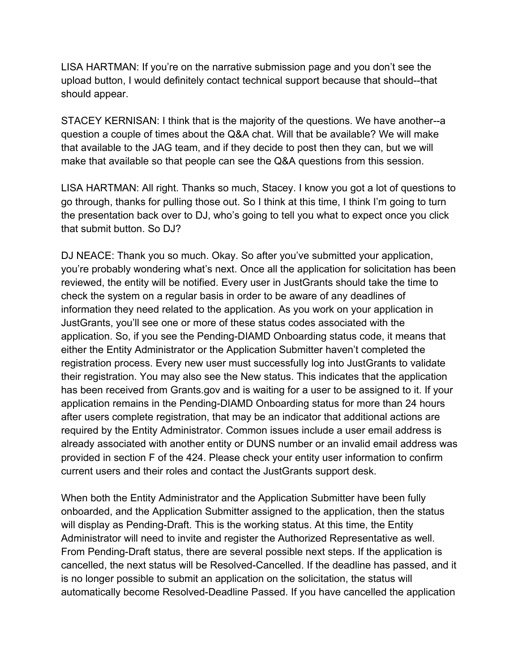LISA HARTMAN: If you're on the narrative submission page and you don't see the upload button, I would definitely contact technical support because that should--that should appear.

STACEY KERNISAN: I think that is the majority of the questions. We have another--a question a couple of times about the Q&A chat. Will that be available? We will make that available to the JAG team, and if they decide to post then they can, but we will make that available so that people can see the Q&A questions from this session.

LISA HARTMAN: All right. Thanks so much, Stacey. I know you got a lot of questions to go through, thanks for pulling those out. So I think at this time, I think I'm going to turn the presentation back over to DJ, who's going to tell you what to expect once you click that submit button. So DJ?

DJ NEACE: Thank you so much. Okay. So after you've submitted your application, you're probably wondering what's next. Once all the application for solicitation has been reviewed, the entity will be notified. Every user in JustGrants should take the time to check the system on a regular basis in order to be aware of any deadlines of information they need related to the application. As you work on your application in JustGrants, you'll see one or more of these status codes associated with the application. So, if you see the Pending-DIAMD Onboarding status code, it means that either the Entity Administrator or the Application Submitter haven't completed the registration process. Every new user must successfully log into JustGrants to validate their registration. You may also see the New status. This indicates that the application has been received from Grants.gov and is waiting for a user to be assigned to it. If your application remains in the Pending-DIAMD Onboarding status for more than 24 hours after users complete registration, that may be an indicator that additional actions are required by the Entity Administrator. Common issues include a user email address is already associated with another entity or DUNS number or an invalid email address was provided in section F of the 424. Please check your entity user information to confirm current users and their roles and contact the JustGrants support desk.

When both the Entity Administrator and the Application Submitter have been fully onboarded, and the Application Submitter assigned to the application, then the status will display as Pending-Draft. This is the working status. At this time, the Entity Administrator will need to invite and register the Authorized Representative as well. From Pending-Draft status, there are several possible next steps. If the application is cancelled, the next status will be Resolved-Cancelled. If the deadline has passed, and it is no longer possible to submit an application on the solicitation, the status will automatically become Resolved-Deadline Passed. If you have cancelled the application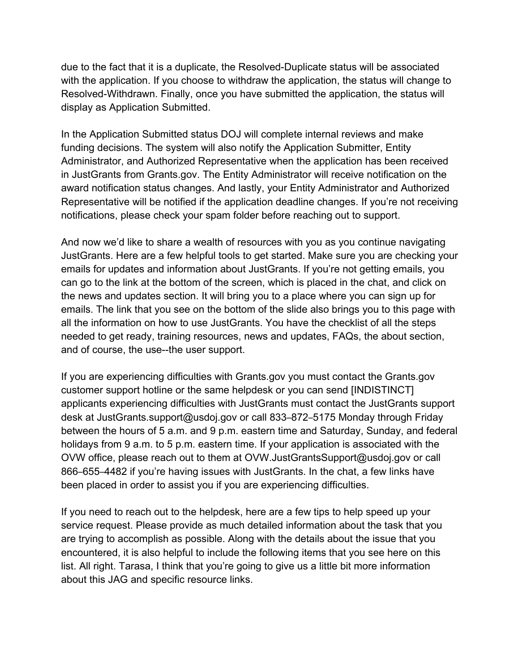due to the fact that it is a duplicate, the Resolved-Duplicate status will be associated with the application. If you choose to withdraw the application, the status will change to Resolved-Withdrawn. Finally, once you have submitted the application, the status will display as Application Submitted.

In the Application Submitted status DOJ will complete internal reviews and make funding decisions. The system will also notify the Application Submitter, Entity Administrator, and Authorized Representative when the application has been received in JustGrants from Grants.gov. The Entity Administrator will receive notification on the award notification status changes. And lastly, your Entity Administrator and Authorized Representative will be notified if the application deadline changes. If you're not receiving notifications, please check your spam folder before reaching out to support.

And now we'd like to share a wealth of resources with you as you continue navigating JustGrants. Here are a few helpful tools to get started. Make sure you are checking your emails for updates and information about JustGrants. If you're not getting emails, you can go to the link at the bottom of the screen, which is placed in the chat, and click on the news and updates section. It will bring you to a place where you can sign up for emails. The link that you see on the bottom of the slide also brings you to this page with all the information on how to use JustGrants. You have the checklist of all the steps needed to get ready, training resources, news and updates, FAQs, the about section, and of course, the use--the user support.

If you are experiencing difficulties with Grants.gov you must contact the Grants.gov customer support hotline or the same helpdesk or you can send [INDISTINCT] applicants experiencing difficulties with JustGrants must contact the JustGrants support desk at JustGrants.support@usdoj.gov or call 833–872–5175 Monday through Friday between the hours of 5 a.m. and 9 p.m. eastern time and Saturday, Sunday, and federal holidays from 9 a.m. to 5 p.m. eastern time. If your application is associated with the OVW office, please reach out to them at OVW.JustGrantsSupport@usdoj.gov or call 866–655–4482 if you're having issues with JustGrants. In the chat, a few links have been placed in order to assist you if you are experiencing difficulties.

If you need to reach out to the helpdesk, here are a few tips to help speed up your service request. Please provide as much detailed information about the task that you are trying to accomplish as possible. Along with the details about the issue that you encountered, it is also helpful to include the following items that you see here on this list. All right. Tarasa, I think that you're going to give us a little bit more information about this JAG and specific resource links.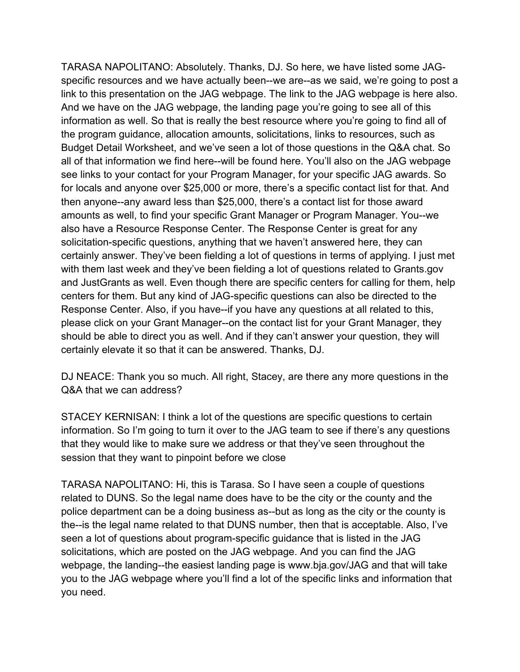TARASA NAPOLITANO: Absolutely. Thanks, DJ. So here, we have listed some JAGspecific resources and we have actually been--we are--as we said, we're going to post a link to this presentation on the JAG webpage. The link to the JAG webpage is here also. And we have on the JAG webpage, the landing page you're going to see all of this information as well. So that is really the best resource where you're going to find all of the program guidance, allocation amounts, solicitations, links to resources, such as Budget Detail Worksheet, and we've seen a lot of those questions in the Q&A chat. So all of that information we find here--will be found here. You'll also on the JAG webpage see links to your contact for your Program Manager, for your specific JAG awards. So for locals and anyone over \$25,000 or more, there's a specific contact list for that. And then anyone--any award less than \$25,000, there's a contact list for those award amounts as well, to find your specific Grant Manager or Program Manager. You--we also have a Resource Response Center. The Response Center is great for any solicitation-specific questions, anything that we haven't answered here, they can certainly answer. They've been fielding a lot of questions in terms of applying. I just met with them last week and they've been fielding a lot of questions related to Grants.gov and JustGrants as well. Even though there are specific centers for calling for them, help centers for them. But any kind of JAG-specific questions can also be directed to the Response Center. Also, if you have--if you have any questions at all related to this, please click on your Grant Manager--on the contact list for your Grant Manager, they should be able to direct you as well. And if they can't answer your question, they will certainly elevate it so that it can be answered. Thanks, DJ.

DJ NEACE: Thank you so much. All right, Stacey, are there any more questions in the Q&A that we can address?

STACEY KERNISAN: I think a lot of the questions are specific questions to certain information. So I'm going to turn it over to the JAG team to see if there's any questions that they would like to make sure we address or that they've seen throughout the session that they want to pinpoint before we close

TARASA NAPOLITANO: Hi, this is Tarasa. So I have seen a couple of questions related to DUNS. So the legal name does have to be the city or the county and the police department can be a doing business as--but as long as the city or the county is the--is the legal name related to that DUNS number, then that is acceptable. Also, I've seen a lot of questions about program-specific guidance that is listed in the JAG solicitations, which are posted on the JAG webpage. And you can find the JAG webpage, the landing--the easiest landing page is www.bja.gov/JAG and that will take you to the JAG webpage where you'll find a lot of the specific links and information that you need.